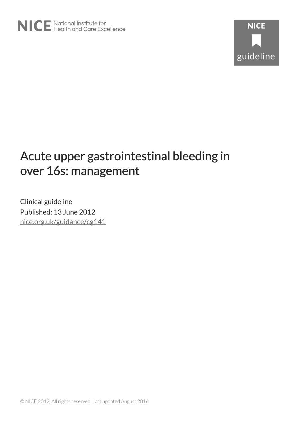# Acute upper gastrointestinal bleeding in over 16s: management

Clinical guideline Published: 13 June 2012 [nice.org.uk/guidance/cg141](http://nice.org.uk/guidance/cg141)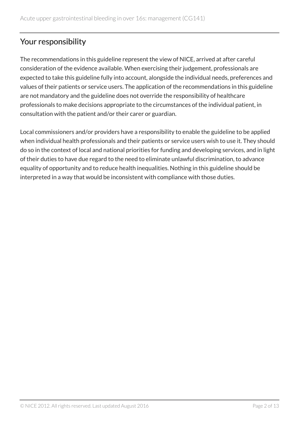# Your responsibility

The recommendations in this guideline represent the view of NICE, arrived at after careful consideration of the evidence available. When exercising their judgement, professionals are expected to take this guideline fully into account, alongside the individual needs, preferences and values of their patients or service users. The application of the recommendations in this guideline are not mandatory and the guideline does not override the responsibility of healthcare professionals to make decisions appropriate to the circumstances of the individual patient, in consultation with the patient and/or their carer or guardian.

Local commissioners and/or providers have a responsibility to enable the guideline to be applied when individual health professionals and their patients or service users wish to use it. They should do so in the context of local and national priorities for funding and developing services, and in light of their duties to have due regard to the need to eliminate unlawful discrimination, to advance equality of opportunity and to reduce health inequalities. Nothing in this guideline should be interpreted in a way that would be inconsistent with compliance with those duties.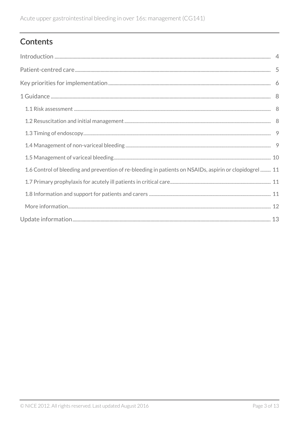# Contents

| 1.6 Control of bleeding and prevention of re-bleeding in patients on NSAIDs, aspirin or clopidogrel  11 |  |
|---------------------------------------------------------------------------------------------------------|--|
|                                                                                                         |  |
|                                                                                                         |  |
|                                                                                                         |  |
|                                                                                                         |  |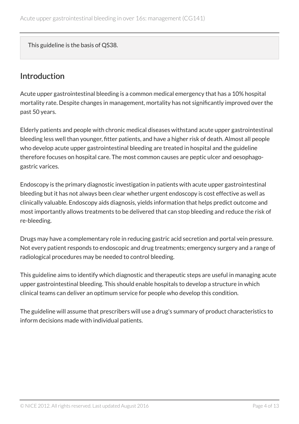This guideline is the basis of QS38.

# <span id="page-3-0"></span>Introduction

Acute upper gastrointestinal bleeding is a common medical emergency that has a 10% hospital mortality rate. Despite changes in management, mortality has not significantly improved over the past 50 years.

Elderly patients and people with chronic medical diseases withstand acute upper gastrointestinal bleeding less well than younger, fitter patients, and have a higher risk of death. Almost all people who develop acute upper gastrointestinal bleeding are treated in hospital and the guideline therefore focuses on hospital care. The most common causes are peptic ulcer and oesophagogastric varices.

Endoscopy is the primary diagnostic investigation in patients with acute upper gastrointestinal bleeding but it has not always been clear whether urgent endoscopy is cost effective as well as clinically valuable. Endoscopy aids diagnosis, yields information that helps predict outcome and most importantly allows treatments to be delivered that can stop bleeding and reduce the risk of re-bleeding.

Drugs may have a complementary role in reducing gastric acid secretion and portal vein pressure. Not every patient responds to endoscopic and drug treatments; emergency surgery and a range of radiological procedures may be needed to control bleeding.

This guideline aims to identify which diagnostic and therapeutic steps are useful in managing acute upper gastrointestinal bleeding. This should enable hospitals to develop a structure in which clinical teams can deliver an optimum service for people who develop this condition.

The guideline will assume that prescribers will use a drug's summary of product characteristics to inform decisions made with individual patients.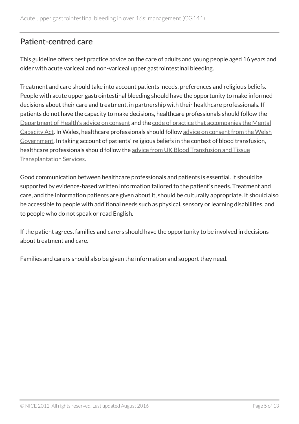# <span id="page-4-0"></span>Patient-centred care

This guideline offers best practice advice on the care of adults and young people aged 16 years and older with acute variceal and non-variceal upper gastrointestinal bleeding.

Treatment and care should take into account patients' needs, preferences and religious beliefs. People with acute upper gastrointestinal bleeding should have the opportunity to make informed decisions about their care and treatment, in partnership with their healthcare professionals. If patients do not have the capacity to make decisions, healthcare professionals should follow the [Department of Health's advice on consent](http://www.dh.gov.uk/en/DH_103643) and the [code of practice that accompanies the Mental](http://www.dh.gov.uk/en/Publicationsandstatistics/Publications/PublicationsPolicyAndGuidance/DH_085476) [Capacity Act.](http://www.dh.gov.uk/en/Publicationsandstatistics/Publications/PublicationsPolicyAndGuidance/DH_085476) In Wales, healthcare professionals should follow [advice on consent from the Welsh](http://www.wales.nhs.uk/consent) [Government](http://www.wales.nhs.uk/consent). In taking account of patients' religious beliefs in the context of blood transfusion, healthcare professionals should follow the [advice from UK Blood Transfusion and Tissue](http://www.transfusionguidelines.org.uk/index.aspx) [Transplantation Services.](http://www.transfusionguidelines.org.uk/index.aspx)

Good communication between healthcare professionals and patients is essential. It should be supported by evidence-based written information tailored to the patient's needs. Treatment and care, and the information patients are given about it, should be culturally appropriate. It should also be accessible to people with additional needs such as physical, sensory or learning disabilities, and to people who do not speak or read English.

If the patient agrees, families and carers should have the opportunity to be involved in decisions about treatment and care.

Families and carers should also be given the information and support they need.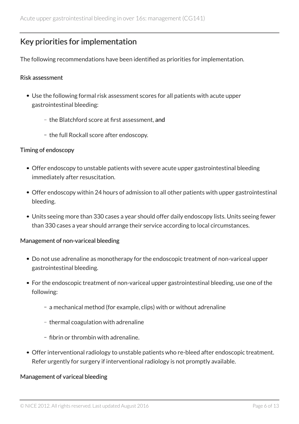# <span id="page-5-0"></span>Key priorities for implementation

The following recommendations have been identified as priorities for implementation.

#### Risk assessment

- Use the following formal risk assessment scores for all patients with acute upper gastrointestinal bleeding:
	- the Blatchford score at first assessment, and
	- the full Rockall score after endoscopy.

#### Timing of endoscopy

- Offer endoscopy to unstable patients with severe acute upper gastrointestinal bleeding immediately after resuscitation.
- Offer endoscopy within 24 hours of admission to all other patients with upper gastrointestinal bleeding.
- Units seeing more than 330 cases a year should offer daily endoscopy lists. Units seeing fewer than 330 cases a year should arrange their service according to local circumstances.

#### Management of non-variceal bleeding

- Do not use adrenaline as monotherapy for the endoscopic treatment of non-variceal upper gastrointestinal bleeding.
- For the endoscopic treatment of non-variceal upper gastrointestinal bleeding, use one of the following:
	- a mechanical method (for example, clips) with or without adrenaline
	- thermal coagulation with adrenaline
	- fibrin or thrombin with adrenaline.
- Offer interventional radiology to unstable patients who re-bleed after endoscopic treatment. Refer urgently for surgery if interventional radiology is not promptly available.

#### Management of variceal bleeding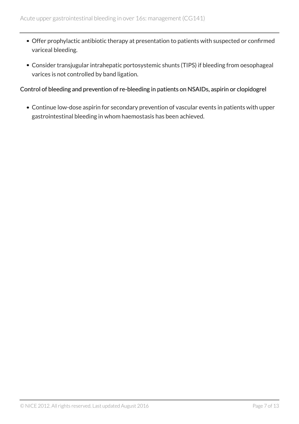- Offer prophylactic antibiotic therapy at presentation to patients with suspected or confirmed variceal bleeding.
- Consider transjugular intrahepatic portosystemic shunts (TIPS) if bleeding from oesophageal varices is not controlled by band ligation.

#### Control of bleeding and prevention of re-bleeding in patients on NSAIDs, aspirin or clopidogrel

Continue low-dose aspirin for secondary prevention of vascular events in patients with upper gastrointestinal bleeding in whom haemostasis has been achieved.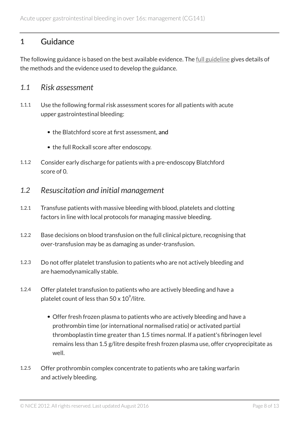## <span id="page-7-0"></span>1 Guidance

The following guidance is based on the best available evidence. The [full guideline](http://www.nice.org.uk/guidance/cg141/evidence) gives details of the methods and the evidence used to develop the guidance.

## <span id="page-7-1"></span>*1.1 Risk assessment*

- 1.1.1 Use the following formal risk assessment scores for all patients with acute upper gastrointestinal bleeding:
	- the Blatchford score at first assessment, and
	- the full Rockall score after endoscopy.
- 1.1.2 Consider early discharge for patients with a pre-endoscopy Blatchford score of 0.
- <span id="page-7-2"></span>*1.2 Resuscitation and initial management*
- 1.2.1 Transfuse patients with massive bleeding with blood, platelets and clotting factors in line with local protocols for managing massive bleeding.
- 1.2.2 Base decisions on blood transfusion on the full clinical picture, recognising that over-transfusion may be as damaging as under-transfusion.
- 1.2.3 Do not offer platelet transfusion to patients who are not actively bleeding and are haemodynamically stable.
- 1.2.4 Offer platelet transfusion to patients who are actively bleeding and have a platelet count of less than 50 x  $10^{\circ}$ /litre.
	- Offer fresh frozen plasma to patients who are actively bleeding and have a prothrombin time (or international normalised ratio) or activated partial thromboplastin time greater than 1.5 times normal. If a patient's fibrinogen level remains less than 1.5 g/litre despite fresh frozen plasma use, offer cryoprecipitate as well.
- 1.2.5 Offer prothrombin complex concentrate to patients who are taking warfarin and actively bleeding.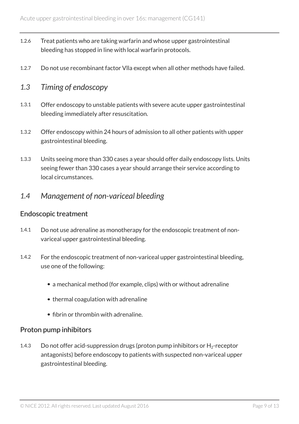- 1.2.6 Treat patients who are taking warfarin and whose upper gastrointestinal bleeding has stopped in line with local warfarin protocols.
- 1.2.7 Do not use recombinant factor Vlla except when all other methods have failed.

## <span id="page-8-0"></span>*1.3 Timing of endoscopy*

- 1.3.1 Offer endoscopy to unstable patients with severe acute upper gastrointestinal bleeding immediately after resuscitation.
- 1.3.2 Offer endoscopy within 24 hours of admission to all other patients with upper gastrointestinal bleeding.
- 1.3.3 Units seeing more than 330 cases a year should offer daily endoscopy lists. Units seeing fewer than 330 cases a year should arrange their service according to local circumstances.

## <span id="page-8-1"></span>*1.4 Management of non-variceal bleeding*

#### Endoscopic treatment

- 1.4.1 Do not use adrenaline as monotherapy for the endoscopic treatment of nonvariceal upper gastrointestinal bleeding.
- 1.4.2 For the endoscopic treatment of non-variceal upper gastrointestinal bleeding, use one of the following:
	- a mechanical method (for example, clips) with or without adrenaline
	- thermal coagulation with adrenaline
	- fibrin or thrombin with adrenaline.

#### Proton pump inhibitors

1.4.3 Do not offer acid-suppression drugs (proton pump inhibitors or  $H_2$ -receptor antagonists) before endoscopy to patients with suspected non-variceal upper gastrointestinal bleeding.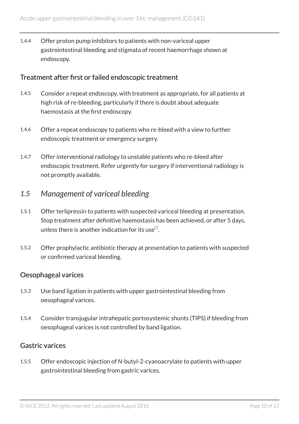1.4.4 Offer proton pump inhibitors to patients with non-variceal upper gastrointestinal bleeding and stigmata of recent haemorrhage shown at endoscopy.

## Treatment after first or failed endoscopic treatment

- 1.4.5 Consider a repeat endoscopy, with treatment as appropriate, for all patients at high risk of re-bleeding, particularly if there is doubt about adequate haemostasis at the first endoscopy.
- 1.4.6 Offer a repeat endoscopy to patients who re-bleed with a view to further endoscopic treatment or emergency surgery.
- 1.4.7 Offer interventional radiology to unstable patients who re-bleed after endoscopic treatment. Refer urgently for surgery if interventional radiology is not promptly available.

## <span id="page-9-0"></span>*1.5 Management of variceal bleeding*

- <span id="page-9-1"></span>1.5.1 Offer terlipressin to patients with suspected variceal bleeding at presentation. Stop treatment after definitive haemostasis has been achieved, or after 5 days, unless there is another indication for its use $^{\left[ 1\right] }$  $^{\left[ 1\right] }$  $^{\left[ 1\right] }$  .
- 1.5.2 Offer prophylactic antibiotic therapy at presentation to patients with suspected or confirmed variceal bleeding.

## Oesophageal varices

- 1.5.3 Use band ligation in patients with upper gastrointestinal bleeding from oesophageal varices.
- 1.5.4 Consider transjugular intrahepatic portosystemic shunts (TIPS) if bleeding from oesophageal varices is not controlled by band ligation.

## Gastric varices

1.5.5 Offer endoscopic injection of *N*-butyl-2-cyanoacrylate to patients with upper gastrointestinal bleeding from gastric varices.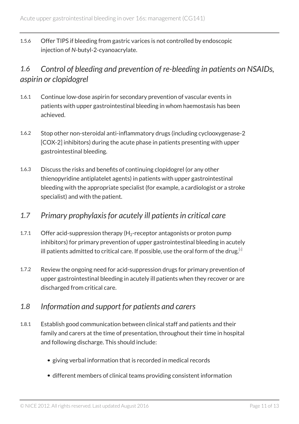1.5.6 Offer TIPS if bleeding from gastric varices is not controlled by endoscopic injection of *N*-butyl-2-cyanoacrylate.

# <span id="page-10-0"></span>*1.6 Control of bleeding and prevention of re-bleeding in patients on NSAIDs, aspirin or clopidogrel*

- 1.6.1 Continue low-dose aspirin for secondary prevention of vascular events in patients with upper gastrointestinal bleeding in whom haemostasis has been achieved.
- 1.6.2 Stop other non-steroidal anti-inflammatory drugs (including cyclooxygenase-2 [COX-2] inhibitors) during the acute phase in patients presenting with upper gastrointestinal bleeding.
- 1.6.3 Discuss the risks and benefits of continuing clopidogrel (or any other thienopyridine antiplatelet agents) in patients with upper gastrointestinal bleeding with the appropriate specialist (for example, a cardiologist or a stroke specialist) and with the patient.

## <span id="page-10-1"></span>*1.7 Primary prophylaxis for acutely ill patients in critical care*

- 1.7.1 Offer acid-suppression therapy  $(H_2$ -receptor antagonists or proton pump inhibitors) for primary prevention of upper gastrointestinal bleeding in acutely ill patients admitted to critical care. If possible, use the oral form of the drug.  $[2]$  $[2]$  $[2]$
- <span id="page-10-3"></span>1.7.2 Review the ongoing need for acid-suppression drugs for primary prevention of upper gastrointestinal bleeding in acutely ill patients when they recover or are discharged from critical care.

## <span id="page-10-2"></span>*1.8 Information and support for patients and carers*

- 1.8.1 Establish good communication between clinical staff and patients and their family and carers at the time of presentation, throughout their time in hospital and following discharge. This should include:
	- giving verbal information that is recorded in medical records
	- different members of clinical teams providing consistent information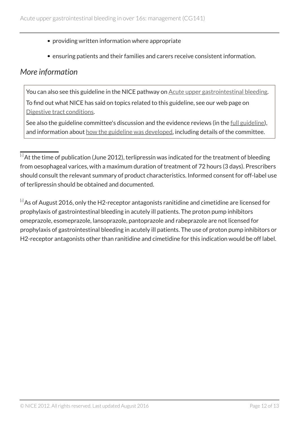- providing written information where appropriate
- ensuring patients and their families and carers receive consistent information.

## <span id="page-11-0"></span>*More information*

You can also see this guideline in the NICE pathway on [Acute upper gastrointestinal bleeding](https://pathways.nice.org.uk/pathways/acute-upper-gastrointestinal-bleeding). To find out what NICE has said on topics related to this guideline, see our web page on [Digestive tract conditions](https://www.nice.org.uk/guidance/conditions-and-diseases/digestive-tract-conditions).

See also the guideline committee's discussion and the evidence reviews (in the [full guideline\)](http://www.nice.org.uk/Guidance/cg141/evidence), and information about [how the guideline was developed](http://www.nice.org.uk/Guidance/cg141/documents), including details of the committee.

<span id="page-11-2"></span> $[2]$  $[2]$  $[2]$ As of August 2016, only the H2-receptor antagonists ranitidine and cimetidine are licensed for prophylaxis of gastrointestinal bleeding in acutely ill patients. The proton pump inhibitors omeprazole, esomeprazole, lansoprazole, pantoprazole and rabeprazole are not licensed for prophylaxis of gastrointestinal bleeding in acutely ill patients. The use of proton pump inhibitors or H2-receptor antagonists other than ranitidine and cimetidine for this indication would be off label.

<span id="page-11-1"></span> $\overline{^{[1]}}$  $\overline{^{[1]}}$  $\overline{^{[1]}}$ At the time of publication (June 2012), terlipressin was indicated for the treatment of bleeding from oesophageal varices, with a maximum duration of treatment of 72 hours (3 days). Prescribers should consult the relevant summary of product characteristics. Informed consent for off-label use of terlipressin should be obtained and documented.